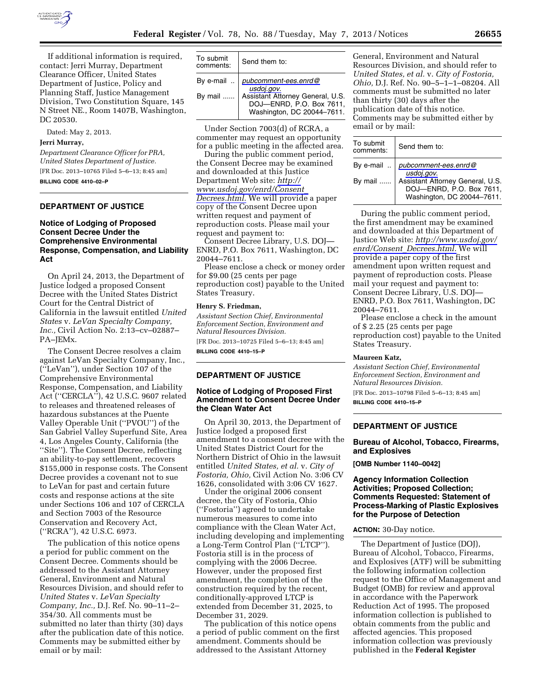

If additional information is required, contact: Jerri Murray, Department Clearance Officer, United States Department of Justice, Policy and Planning Staff, Justice Management Division, Two Constitution Square, 145 N Street NE., Room 1407B, Washington, DC 20530.

Dated: May 2, 2013.

#### **Jerri Murray,**

*Department Clearance Officer for PRA, United States Department of Justice.*  [FR Doc. 2013–10765 Filed 5–6–13; 8:45 am]

**BILLING CODE 4410–02–P** 

## **DEPARTMENT OF JUSTICE**

# **Notice of Lodging of Proposed Consent Decree Under the Comprehensive Environmental Response, Compensation, and Liability Act**

On April 24, 2013, the Department of Justice lodged a proposed Consent Decree with the United States District Court for the Central District of California in the lawsuit entitled *United States* v. *LeVan Specialty Company, Inc.,* Civil Action No. 2:13–cv–02887– PA–JEMx.

The Consent Decree resolves a claim against LeVan Specialty Company, Inc., (''LeVan''), under Section 107 of the Comprehensive Environmental Response, Compensation, and Liability Act (''CERCLA''), 42 U.S.C. 9607 related to releases and threatened releases of hazardous substances at the Puente Valley Operable Unit (''PVOU'') of the San Gabriel Valley Superfund Site, Area 4, Los Angeles County, California (the ''Site''). The Consent Decree, reflecting an ability-to-pay settlement, recovers \$155,000 in response costs. The Consent Decree provides a covenant not to sue to LeVan for past and certain future costs and response actions at the site under Sections 106 and 107 of CERCLA and Section 7003 of the Resource Conservation and Recovery Act, (''RCRA''), 42 U.S.C. 6973.

The publication of this notice opens a period for public comment on the Consent Decree. Comments should be addressed to the Assistant Attorney General, Environment and Natural Resources Division, and should refer to *United States* v. *LeVan Specialty Company, Inc.,* D.J. Ref. No. 90–11–2– 354/30. All comments must be submitted no later than thirty (30) days after the publication date of this notice. Comments may be submitted either by email or by mail:

| To submit<br>comments: | Send them to:                                                                                                                                           |
|------------------------|---------------------------------------------------------------------------------------------------------------------------------------------------------|
|                        | By e-mail $\therefore$ pubcomment-ees.enrd@<br>usdoj.gov.<br>Assistant Attorney General, U.S.<br>DOJ-ENRD, P.O. Box 7611,<br>Washington, DC 20044-7611. |
| By mail                |                                                                                                                                                         |

Under Section 7003(d) of RCRA, a commenter may request an opportunity for a public meeting in the affected area.

During the public comment period, the Consent Decree may be examined and downloaded at this Justice Department Web site: *[http://](http://www.usdoj.gov/enrd/Consent_Decrees.html) [www.usdoj.gov/enrd/Consent](http://www.usdoj.gov/enrd/Consent_Decrees.html)*\_ *[Decrees.html.](http://www.usdoj.gov/enrd/Consent_Decrees.html)* We will provide a paper copy of the Consent Decree upon written request and payment of reproduction costs. Please mail your request and payment to:

Consent Decree Library, U.S. DOJ— ENRD, P.O. Box 7611, Washington, DC 20044–7611.

Please enclose a check or money order for \$9.00 (25 cents per page reproduction cost) payable to the United States Treasury.

#### **Henry S. Friedman,**

*Assistant Section Chief, Environmental Enforcement Section, Environment and Natural Resources Division.* 

[FR Doc. 2013–10725 Filed 5–6–13; 8:45 am] **BILLING CODE 4410–15–P** 

# **DEPARTMENT OF JUSTICE**

## **Notice of Lodging of Proposed First Amendment to Consent Decree Under the Clean Water Act**

On April 30, 2013, the Department of Justice lodged a proposed first amendment to a consent decree with the United States District Court for the Northern District of Ohio in the lawsuit entitled *United States, et al.* v. *City of Fostoria, Ohio,* Civil Action No. 3:06 CV 1626, consolidated with 3:06 CV 1627.

Under the original 2006 consent decree, the City of Fostoria, Ohio (''Fostoria'') agreed to undertake numerous measures to come into compliance with the Clean Water Act, including developing and implementing a Long-Term Control Plan (''LTCP''). Fostoria still is in the process of complying with the 2006 Decree. However, under the proposed first amendment, the completion of the construction required by the recent, conditionally-approved LTCP is extended from December 31, 2025, to December 31, 2029.

The publication of this notice opens a period of public comment on the first amendment. Comments should be addressed to the Assistant Attorney

General, Environment and Natural Resources Division, and should refer to *United States, et al.* v. *City of Fostoria, Ohio,* D.J. Ref. No. 90–5–1–1–08204. All comments must be submitted no later than thirty (30) days after the publication date of this notice. Comments may be submitted either by email or by mail:

| To submit<br>comments: | Send them to:                                                                                                                                       |
|------------------------|-----------------------------------------------------------------------------------------------------------------------------------------------------|
|                        | By e-mail $\ldots$ pubcomment-ees.enrd@<br>usdoj.gov.<br>Assistant Attorney General, U.S.<br>DOJ-ENRD, P.O. Box 7611,<br>Washington, DC 20044-7611. |
| By mail                |                                                                                                                                                     |

During the public comment period, the first amendment may be examined and downloaded at this Department of Justice Web site: *[http://www.usdoj.gov/](http://www.usdoj.gov/enrd/Consent_Decrees.html)  enrd/Consent*\_*[Decrees.html.](http://www.usdoj.gov/enrd/Consent_Decrees.html)* We will provide a paper copy of the first amendment upon written request and payment of reproduction costs. Please mail your request and payment to: Consent Decree Library, U.S. DOJ— ENRD, P.O. Box 7611, Washington, DC 20044–7611.

Please enclose a check in the amount of \$ 2.25 (25 cents per page reproduction cost) payable to the United States Treasury.

### **Maureen Katz,**

*Assistant Section Chief, Environmental Enforcement Section, Environment and Natural Resources Division.* 

[FR Doc. 2013–10798 Filed 5–6–13; 8:45 am] **BILLING CODE 4410–15–P** 

# **DEPARTMENT OF JUSTICE**

**Bureau of Alcohol, Tobacco, Firearms, and Explosives** 

**[OMB Number 1140–0042]** 

# **Agency Information Collection Activities; Proposed Collection; Comments Requested: Statement of Process-Marking of Plastic Explosives for the Purpose of Detection**

### **ACTION:** 30-Day notice.

The Department of Justice (DOJ), Bureau of Alcohol, Tobacco, Firearms, and Explosives (ATF) will be submitting the following information collection request to the Office of Management and Budget (OMB) for review and approval in accordance with the Paperwork Reduction Act of 1995. The proposed information collection is published to obtain comments from the public and affected agencies. This proposed information collection was previously published in the **Federal Register**